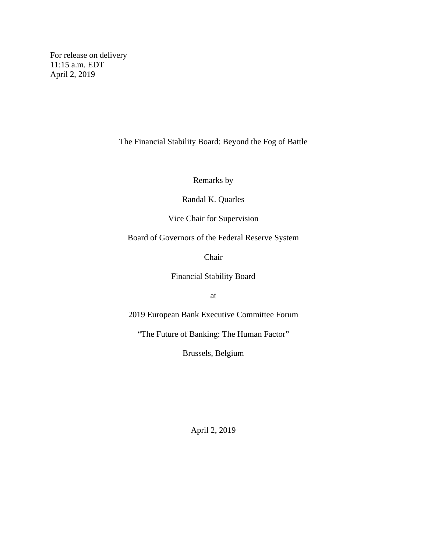For release on delivery 11:15 a.m. EDT April 2, 2019

The Financial Stability Board: Beyond the Fog of Battle

Remarks by

Randal K. Quarles

Vice Chair for Supervision

Board of Governors of the Federal Reserve System

Chair

Financial Stability Board

at

2019 European Bank Executive Committee Forum

"The Future of Banking: The Human Factor"

Brussels, Belgium

April 2, 2019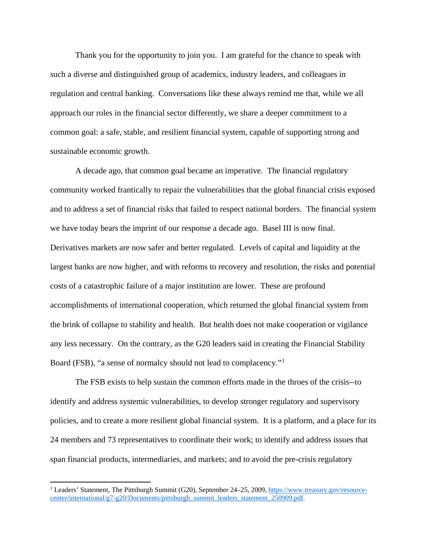Thank you for the opportunity to join you. I am grateful for the chance to speak with such a diverse and distinguished group of academics, industry leaders, and colleagues in regulation and central banking. Conversations like these always remind me that, while we all approach our roles in the financial sector differently, we share a deeper commitment to a common goal: a safe, stable, and resilient financial system, capable of supporting strong and sustainable economic growth.

A decade ago, that common goal became an imperative. The financial regulatory community worked frantically to repair the vulnerabilities that the global financial crisis exposed and to address a set of financial risks that failed to respect national borders. The financial system we have today bears the imprint of our response a decade ago. Basel III is now final. Derivatives markets are now safer and better regulated. Levels of capital and liquidity at the largest banks are now higher, and with reforms to recovery and resolution, the risks and potential costs of a catastrophic failure of a major institution are lower. These are profound accomplishments of international cooperation, which returned the global financial system from the brink of collapse to stability and health. But health does not make cooperation or vigilance any less necessary. On the contrary, as the G20 leaders said in creating the Financial Stability Board (FSB), "a sense of normalcy should not lead to complacency."[1](#page-1-0)

The FSB exists to help sustain the common efforts made in the throes of the crisis--to identify and address systemic vulnerabilities, to develop stronger regulatory and supervisory policies, and to create a more resilient global financial system. It is a platform, and a place for its 24 members and 73 representatives to coordinate their work; to identify and address issues that span financial products, intermediaries, and markets; and to avoid the pre-crisis regulatory

 $\overline{\phantom{a}}$ 

<span id="page-1-0"></span><sup>&</sup>lt;sup>1</sup> Leaders' Statement, The Pittsburgh Summit (G20), September 24–25, 2009, [https://www.treasury.gov/resource](https://www.treasury.gov/resource-center/international/g7-g20/Documents/pittsburgh_summit_leaders_statement_250909.pdf)[center/international/g7-g20/Documents/pittsburgh\\_summit\\_leaders\\_statement\\_250909.pdf.](https://www.treasury.gov/resource-center/international/g7-g20/Documents/pittsburgh_summit_leaders_statement_250909.pdf)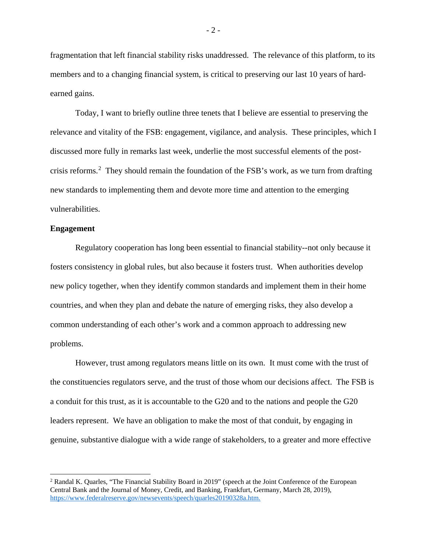fragmentation that left financial stability risks unaddressed. The relevance of this platform, to its members and to a changing financial system, is critical to preserving our last 10 years of hardearned gains.

Today, I want to briefly outline three tenets that I believe are essential to preserving the relevance and vitality of the FSB: engagement, vigilance, and analysis. These principles, which I discussed more fully in remarks last week, underlie the most successful elements of the postcrisis reforms. [2](#page-2-0) They should remain the foundation of the FSB's work, as we turn from drafting new standards to implementing them and devote more time and attention to the emerging vulnerabilities.

## **Engagement**

 $\overline{a}$ 

Regulatory cooperation has long been essential to financial stability--not only because it fosters consistency in global rules, but also because it fosters trust. When authorities develop new policy together, when they identify common standards and implement them in their home countries, and when they plan and debate the nature of emerging risks, they also develop a common understanding of each other's work and a common approach to addressing new problems.

However, trust among regulators means little on its own. It must come with the trust of the constituencies regulators serve, and the trust of those whom our decisions affect. The FSB is a conduit for this trust, as it is accountable to the G20 and to the nations and people the G20 leaders represent. We have an obligation to make the most of that conduit, by engaging in genuine, substantive dialogue with a wide range of stakeholders, to a greater and more effective

- 2 -

<span id="page-2-0"></span><sup>&</sup>lt;sup>2</sup> Randal K. Quarles, "The Financial Stability Board in 2019" (speech at the Joint Conference of the European Central Bank and the Journal of Money, Credit, and Banking, Frankfurt, Germany, March 28, 2019), [https://www.federalreserve.gov/newsevents/speech/quarles20190328a.htm.](https://www.federalreserve.gov/newsevents/speech/quarles20190328a.htm)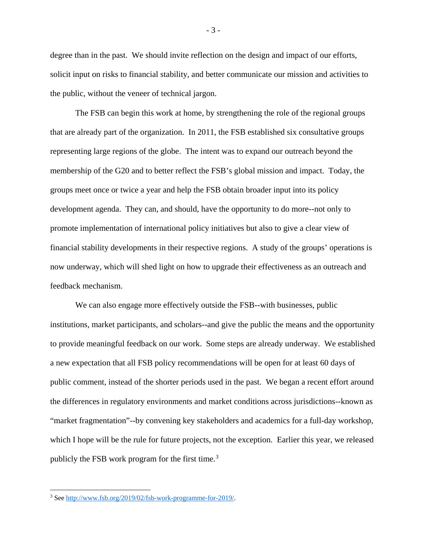degree than in the past. We should invite reflection on the design and impact of our efforts, solicit input on risks to financial stability, and better communicate our mission and activities to the public, without the veneer of technical jargon.

The FSB can begin this work at home, by strengthening the role of the regional groups that are already part of the organization. In 2011, the FSB established six consultative groups representing large regions of the globe. The intent was to expand our outreach beyond the membership of the G20 and to better reflect the FSB's global mission and impact. Today, the groups meet once or twice a year and help the FSB obtain broader input into its policy development agenda. They can, and should, have the opportunity to do more--not only to promote implementation of international policy initiatives but also to give a clear view of financial stability developments in their respective regions. A study of the groups' operations is now underway, which will shed light on how to upgrade their effectiveness as an outreach and feedback mechanism.

We can also engage more effectively outside the FSB--with businesses, public institutions, market participants, and scholars--and give the public the means and the opportunity to provide meaningful feedback on our work. Some steps are already underway. We established a new expectation that all FSB policy recommendations will be open for at least 60 days of public comment, instead of the shorter periods used in the past. We began a recent effort around the differences in regulatory environments and market conditions across jurisdictions--known as "market fragmentation"--by convening key stakeholders and academics for a full-day workshop, which I hope will be the rule for future projects, not the exception. Earlier this year, we released publicly the FSB work program for the first time.<sup>[3](#page-3-0)</sup>

l

- 3 -

<span id="page-3-0"></span><sup>3</sup> Se[e http://www.fsb.org/2019/02/fsb-work-programme-for-2019/.](http://www.fsb.org/2019/02/fsb-work-programme-for-2019/)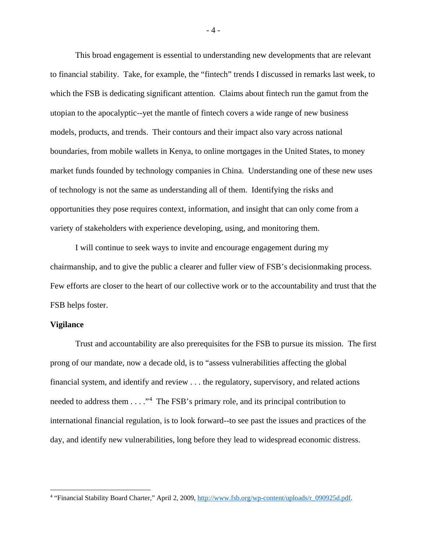This broad engagement is essential to understanding new developments that are relevant to financial stability. Take, for example, the "fintech" trends I discussed in remarks last week, to which the FSB is dedicating significant attention. Claims about fintech run the gamut from the utopian to the apocalyptic--yet the mantle of fintech covers a wide range of new business models, products, and trends. Their contours and their impact also vary across national boundaries, from mobile wallets in Kenya, to online mortgages in the United States, to money market funds founded by technology companies in China. Understanding one of these new uses of technology is not the same as understanding all of them. Identifying the risks and opportunities they pose requires context, information, and insight that can only come from a variety of stakeholders with experience developing, using, and monitoring them.

I will continue to seek ways to invite and encourage engagement during my chairmanship, and to give the public a clearer and fuller view of FSB's decisionmaking process. Few efforts are closer to the heart of our collective work or to the accountability and trust that the FSB helps foster.

## **Vigilance**

l

Trust and accountability are also prerequisites for the FSB to pursue its mission. The first prong of our mandate, now a decade old, is to "assess vulnerabilities affecting the global financial system, and identify and review . . . the regulatory, supervisory, and related actions needed to address them  $\dots$  ."<sup>[4](#page-4-0)</sup> The FSB's primary role, and its principal contribution to international financial regulation, is to look forward--to see past the issues and practices of the day, and identify new vulnerabilities, long before they lead to widespread economic distress.

<span id="page-4-0"></span><sup>&</sup>lt;sup>4</sup> "Financial Stability Board Charter," April 2, 2009, [http://www.fsb.org/wp-content/uploads/r\\_090925d.pdf.](http://www.fsb.org/wp-content/uploads/r_090925d.pdf)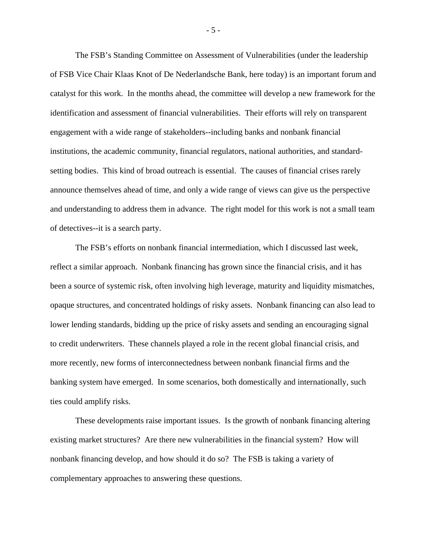The FSB's Standing Committee on Assessment of Vulnerabilities (under the leadership of FSB Vice Chair Klaas Knot of De Nederlandsche Bank, here today) is an important forum and catalyst for this work. In the months ahead, the committee will develop a new framework for the identification and assessment of financial vulnerabilities. Their efforts will rely on transparent engagement with a wide range of stakeholders--including banks and nonbank financial institutions, the academic community, financial regulators, national authorities, and standardsetting bodies. This kind of broad outreach is essential. The causes of financial crises rarely announce themselves ahead of time, and only a wide range of views can give us the perspective and understanding to address them in advance. The right model for this work is not a small team of detectives--it is a search party.

The FSB's efforts on nonbank financial intermediation, which I discussed last week, reflect a similar approach. Nonbank financing has grown since the financial crisis, and it has been a source of systemic risk, often involving high leverage, maturity and liquidity mismatches, opaque structures, and concentrated holdings of risky assets. Nonbank financing can also lead to lower lending standards, bidding up the price of risky assets and sending an encouraging signal to credit underwriters. These channels played a role in the recent global financial crisis, and more recently, new forms of interconnectedness between nonbank financial firms and the banking system have emerged. In some scenarios, both domestically and internationally, such ties could amplify risks.

These developments raise important issues. Is the growth of nonbank financing altering existing market structures? Are there new vulnerabilities in the financial system? How will nonbank financing develop, and how should it do so? The FSB is taking a variety of complementary approaches to answering these questions.

- 5 -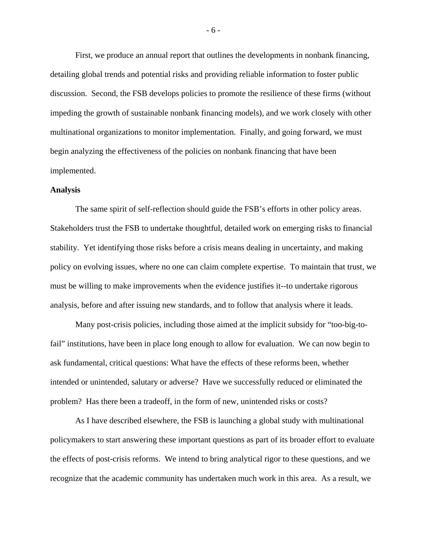First, we produce an annual report that outlines the developments in nonbank financing, detailing global trends and potential risks and providing reliable information to foster public discussion. Second, the FSB develops policies to promote the resilience of these firms (without impeding the growth of sustainable nonbank financing models), and we work closely with other multinational organizations to monitor implementation. Finally, and going forward, we must begin analyzing the effectiveness of the policies on nonbank financing that have been implemented.

## **Analysis**

The same spirit of self-reflection should guide the FSB's efforts in other policy areas. Stakeholders trust the FSB to undertake thoughtful, detailed work on emerging risks to financial stability. Yet identifying those risks before a crisis means dealing in uncertainty, and making policy on evolving issues, where no one can claim complete expertise. To maintain that trust, we must be willing to make improvements when the evidence justifies it--to undertake rigorous analysis, before and after issuing new standards, and to follow that analysis where it leads.

Many post-crisis policies, including those aimed at the implicit subsidy for "too-big-tofail" institutions, have been in place long enough to allow for evaluation. We can now begin to ask fundamental, critical questions: What have the effects of these reforms been, whether intended or unintended, salutary or adverse? Have we successfully reduced or eliminated the problem? Has there been a tradeoff, in the form of new, unintended risks or costs?

As I have described elsewhere, the FSB is launching a global study with multinational policymakers to start answering these important questions as part of its broader effort to evaluate the effects of post-crisis reforms. We intend to bring analytical rigor to these questions, and we recognize that the academic community has undertaken much work in this area. As a result, we

- 6 -